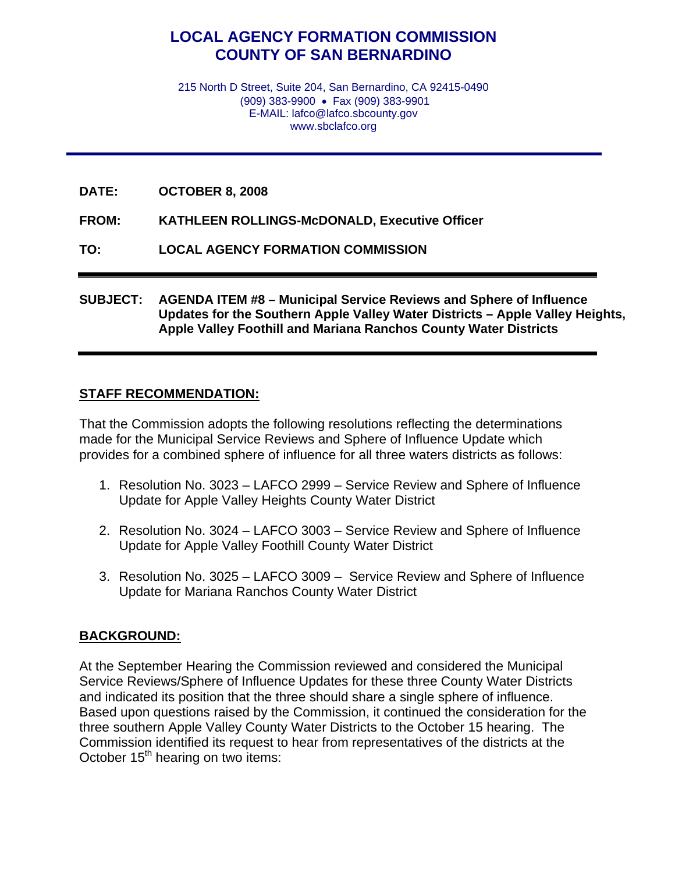## **LOCAL AGENCY FORMATION COMMISSION COUNTY OF SAN BERNARDINO**

215 North D Street, Suite 204, San Bernardino, CA 92415-0490 (909) 383-9900 • Fax (909) 383-9901 E-MAIL: lafco@lafco.sbcounty.gov www.sbclafco.org

**DATE: OCTOBER 8, 2008** 

**FROM: KATHLEEN ROLLINGS-McDONALD, Executive Officer** 

**TO: LOCAL AGENCY FORMATION COMMISSION** 

**SUBJECT: AGENDA ITEM #8 – Municipal Service Reviews and Sphere of Influence Updates for the Southern Apple Valley Water Districts – Apple Valley Heights, Apple Valley Foothill and Mariana Ranchos County Water Districts** 

## **STAFF RECOMMENDATION:**

That the Commission adopts the following resolutions reflecting the determinations made for the Municipal Service Reviews and Sphere of Influence Update which provides for a combined sphere of influence for all three waters districts as follows:

- 1. Resolution No. 3023 LAFCO 2999 Service Review and Sphere of Influence Update for Apple Valley Heights County Water District
- 2. Resolution No. 3024 LAFCO 3003 Service Review and Sphere of Influence Update for Apple Valley Foothill County Water District
- 3. Resolution No. 3025 LAFCO 3009 Service Review and Sphere of Influence Update for Mariana Ranchos County Water District

## **BACKGROUND:**

At the September Hearing the Commission reviewed and considered the Municipal Service Reviews/Sphere of Influence Updates for these three County Water Districts and indicated its position that the three should share a single sphere of influence. Based upon questions raised by the Commission, it continued the consideration for the three southern Apple Valley County Water Districts to the October 15 hearing. The Commission identified its request to hear from representatives of the districts at the October 15<sup>th</sup> hearing on two items: